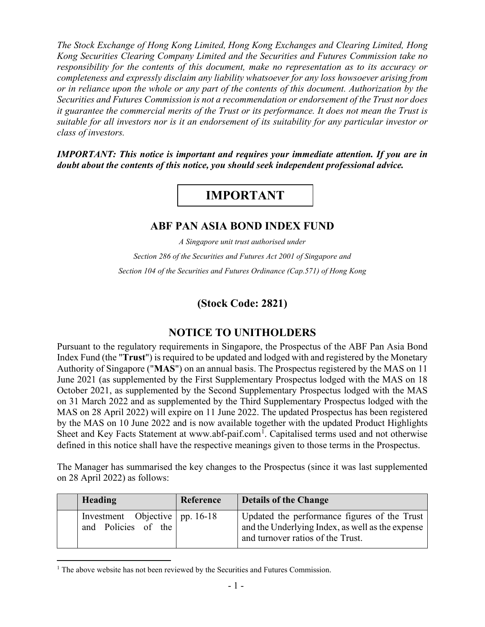*The Stock Exchange of Hong Kong Limited, Hong Kong Exchanges and Clearing Limited, Hong Kong Securities Clearing Company Limited and the Securities and Futures Commission take no responsibility for the contents of this document, make no representation as to its accuracy or completeness and expressly disclaim any liability whatsoever for any loss howsoever arising from or in reliance upon the whole or any part of the contents of this document. Authorization by the Securities and Futures Commission is not a recommendation or endorsement of the Trust nor does it guarantee the commercial merits of the Trust or its performance. It does not mean the Trust is suitable for all investors nor is it an endorsement of its suitability for any particular investor or class of investors.*

*IMPORTANT: This notice is important and requires your immediate attention. If you are in doubt about the contents of this notice, you should seek independent professional advice.* 

## **IMPORTANT**

## **ABF PAN ASIA BOND INDEX FUND**

*A Singapore unit trust authorised under Section 286 of the Securities and Futures Act 2001 of Singapore and Section 104 of the Securities and Futures Ordinance (Cap.571) of Hong Kong*

**(Stock Code: 2821)**

## **NOTICE TO UNITHOLDERS**

Pursuant to the regulatory requirements in Singapore, the Prospectus of the ABF Pan Asia Bond Index Fund (the "**Trust**") is required to be updated and lodged with and registered by the Monetary Authority of Singapore ("**MAS**") on an annual basis. The Prospectus registered by the MAS on 11 June 2021 (as supplemented by the First Supplementary Prospectus lodged with the MAS on 18 October 2021, as supplemented by the Second Supplementary Prospectus lodged with the MAS on 31 March 2022 and as supplemented by the Third Supplementary Prospectus lodged with the MAS on 28 April 2022) will expire on 11 June 2022. The updated Prospectus has been registered by the MAS on 10 June 2022 and is now available together with the updated Product Highlights Sheet and Key Facts Statement at www.abf-paif.com<sup>[1](#page-0-0)</sup>. Capitalised terms used and not otherwise defined in this notice shall have the respective meanings given to those terms in the Prospectus.

The Manager has summarised the key changes to the Prospectus (since it was last supplemented on 28 April 2022) as follows:

| Heading                                                 | Reference | <b>Details of the Change</b>                                                                                                          |
|---------------------------------------------------------|-----------|---------------------------------------------------------------------------------------------------------------------------------------|
| Investment Objective   pp. 16-18<br>and Policies of the |           | Updated the performance figures of the Trust<br>and the Underlying Index, as well as the expense<br>and turnover ratios of the Trust. |

<span id="page-0-0"></span> $1$  The above website has not been reviewed by the Securities and Futures Commission.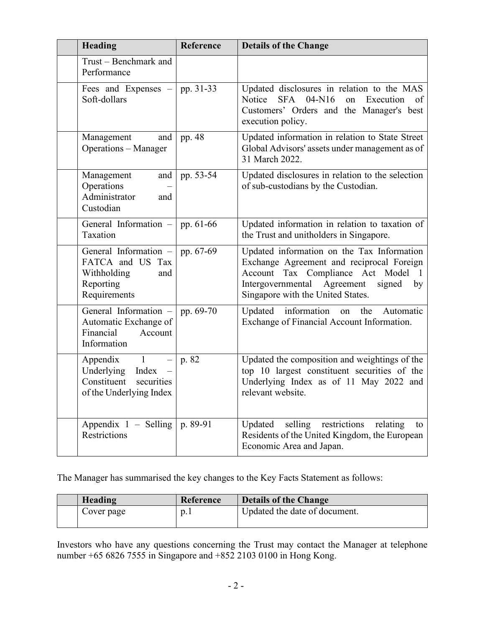| <b>Heading</b>                                                                                                     | Reference | <b>Details of the Change</b>                                                                                                                                                                                                      |
|--------------------------------------------------------------------------------------------------------------------|-----------|-----------------------------------------------------------------------------------------------------------------------------------------------------------------------------------------------------------------------------------|
| Trust - Benchmark and<br>Performance                                                                               |           |                                                                                                                                                                                                                                   |
| Fees and Expenses –<br>Soft-dollars                                                                                | pp. 31-33 | Updated disclosures in relation to the MAS<br>SFA 04-N16<br>Notice<br>on Execution<br>of<br>Customers' Orders and the Manager's best<br>execution policy.                                                                         |
| and<br>Management<br><b>Operations</b> - Manager                                                                   | pp. 48    | Updated information in relation to State Street<br>Global Advisors' assets under management as of<br>31 March 2022.                                                                                                               |
| and<br>Management<br>Operations<br>Administrator<br>and<br>Custodian                                               | pp. 53-54 | Updated disclosures in relation to the selection<br>of sub-custodians by the Custodian.                                                                                                                                           |
| General Information $-$ pp. 61-66<br>Taxation                                                                      |           | Updated information in relation to taxation of<br>the Trust and unitholders in Singapore.                                                                                                                                         |
| General Information -<br>FATCA and US<br>Tax<br>Withholding<br>and<br>Reporting<br>Requirements                    | pp. 67-69 | Updated information on the Tax Information<br>Exchange Agreement and reciprocal Foreign<br>Account Tax Compliance Act Model<br>$\blacksquare$<br>Intergovernmental Agreement<br>signed<br>by<br>Singapore with the United States. |
| General Information -<br>Automatic Exchange of<br>Financial<br>Account<br>Information                              | pp. 69-70 | Updated information<br>the<br>Automatic<br>on<br>Exchange of Financial Account Information.                                                                                                                                       |
| $\overline{1}$<br>Appendix<br>$\equiv$<br>Underlying Index<br>Constituent<br>securities<br>of the Underlying Index | p. 82     | Updated the composition and weightings of the<br>top 10 largest constituent securities of the<br>Underlying Index as of 11 May 2022 and<br>relevant website.                                                                      |
| Appendix $1 -$ Selling<br>Restrictions                                                                             | p. 89-91  | selling<br>restrictions<br>Updated<br>relating<br>to<br>Residents of the United Kingdom, the European<br>Economic Area and Japan.                                                                                                 |

The Manager has summarised the key changes to the Key Facts Statement as follows:

| Heading    | Reference        | <b>Details of the Change</b>  |
|------------|------------------|-------------------------------|
| Cover page | $\mathfrak{D}$ . | Updated the date of document. |

Investors who have any questions concerning the Trust may contact the Manager at telephone number +65 6826 7555 in Singapore and +852 2103 0100 in Hong Kong.